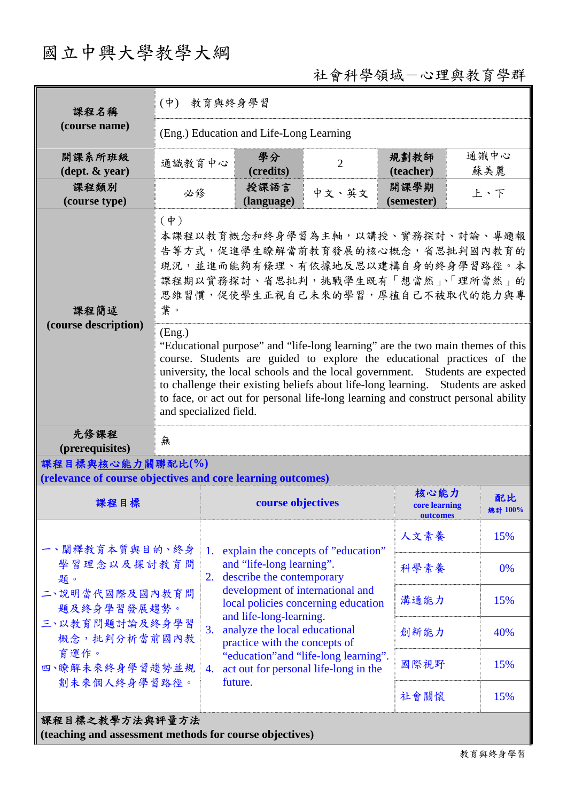## 國立中興大學教學大綱

## 社會科學領域-心理與教育學群

| 課程名稱<br>(course name)                                                                                                            | (中) 教育與終身學習                                                                                                                                                                                                                                                                                                                                                                                                                                              |                                                                                                                                         |                                                                                           |                |                           |               |  |  |  |
|----------------------------------------------------------------------------------------------------------------------------------|----------------------------------------------------------------------------------------------------------------------------------------------------------------------------------------------------------------------------------------------------------------------------------------------------------------------------------------------------------------------------------------------------------------------------------------------------------|-----------------------------------------------------------------------------------------------------------------------------------------|-------------------------------------------------------------------------------------------|----------------|---------------------------|---------------|--|--|--|
|                                                                                                                                  | (Eng.) Education and Life-Long Learning                                                                                                                                                                                                                                                                                                                                                                                                                  |                                                                                                                                         |                                                                                           |                |                           |               |  |  |  |
| 開課系所班級<br>$(\text{dept.} \& \text{ year})$                                                                                       | 通識教育中心                                                                                                                                                                                                                                                                                                                                                                                                                                                   |                                                                                                                                         | 學分<br>(credits)                                                                           | $\overline{2}$ | 規劃教師<br>(teacher)         | 通識中心<br>蘇美麗   |  |  |  |
| 課程類別<br>(course type)                                                                                                            | 必修                                                                                                                                                                                                                                                                                                                                                                                                                                                       |                                                                                                                                         | 授課語言<br>(language)                                                                        | 中文、英文          | 開課學期<br>(semester)        | 上、下           |  |  |  |
| 課程簡述<br>(course description)                                                                                                     | $(\phi)$<br>本課程以教育概念和終身學習為主軸,以講授、實務探討、討論、專題報<br>告等方式,促進學生瞭解當前教育發展的核心概念,省思批判國內教育的<br>現況,並進而能夠有條理、有依據地反思以建構自身的終身學習路徑。本<br>課程期以實務探討、省思批判,挑戰學生既有「想當然」、「理所當然」的<br>思維習慣,促使學生正視自己未來的學習,厚植自己不被取代的能力與專<br>業。                                                                                                                                                                                                                                                      |                                                                                                                                         |                                                                                           |                |                           |               |  |  |  |
|                                                                                                                                  | (Eng.)<br>"Educational purpose" and "life-long learning" are the two main themes of this<br>course. Students are guided to explore the educational practices of the<br>university, the local schools and the local government. Students are expected<br>to challenge their existing beliefs about life-long learning. Students are asked<br>to face, or act out for personal life-long learning and construct personal ability<br>and specialized field. |                                                                                                                                         |                                                                                           |                |                           |               |  |  |  |
| 先修課程<br>(prerequisites)                                                                                                          | 無                                                                                                                                                                                                                                                                                                                                                                                                                                                        |                                                                                                                                         |                                                                                           |                |                           |               |  |  |  |
| 課程目標與核心能力關聯配比(%)                                                                                                                 |                                                                                                                                                                                                                                                                                                                                                                                                                                                          |                                                                                                                                         |                                                                                           |                |                           |               |  |  |  |
| (relevance of course objectives and core learning outcomes)                                                                      |                                                                                                                                                                                                                                                                                                                                                                                                                                                          |                                                                                                                                         |                                                                                           |                | 核心能力                      |               |  |  |  |
| 課程目標                                                                                                                             |                                                                                                                                                                                                                                                                                                                                                                                                                                                          |                                                                                                                                         | course objectives                                                                         |                | core learning<br>outcomes | 配比<br>總計 100% |  |  |  |
| 一、闡釋教育本質與目的、終身<br>學習理念以及探討教育問<br>題。<br>二、說明當代國際及國內教育問<br>題及終身學習發展趨勢。<br>三、以教育問題討論及終身學習<br>概念,批判分析當前國內教<br>育運作。<br>四、瞭解未來終身學習趨勢並規 |                                                                                                                                                                                                                                                                                                                                                                                                                                                          |                                                                                                                                         | 1. explain the concepts of "education"                                                    | 人文素養           | 15%                       |               |  |  |  |
|                                                                                                                                  |                                                                                                                                                                                                                                                                                                                                                                                                                                                          | and "life-long learning".<br>describe the contemporary<br>2.<br>development of international and<br>local policies concerning education | 科學素養                                                                                      | 0%             |                           |               |  |  |  |
|                                                                                                                                  |                                                                                                                                                                                                                                                                                                                                                                                                                                                          |                                                                                                                                         | 溝通能力                                                                                      | 15%            |                           |               |  |  |  |
|                                                                                                                                  |                                                                                                                                                                                                                                                                                                                                                                                                                                                          | 3.                                                                                                                                      | and life-long-learning.<br>analyze the local educational<br>practice with the concepts of | 創新能力           | 40%                       |               |  |  |  |
|                                                                                                                                  |                                                                                                                                                                                                                                                                                                                                                                                                                                                          | "education" and "life-long learning".<br>act out for personal life-long in the<br>4.<br>future.                                         | 國際視野                                                                                      | 15%            |                           |               |  |  |  |
| 劃未來個人終身學習路徑。                                                                                                                     |                                                                                                                                                                                                                                                                                                                                                                                                                                                          |                                                                                                                                         |                                                                                           |                | 社會關懷                      | 15%           |  |  |  |
| 課程目標之教學方法與評量方法                                                                                                                   |                                                                                                                                                                                                                                                                                                                                                                                                                                                          |                                                                                                                                         |                                                                                           |                |                           |               |  |  |  |

**(teaching and assessment methods for course objectives)**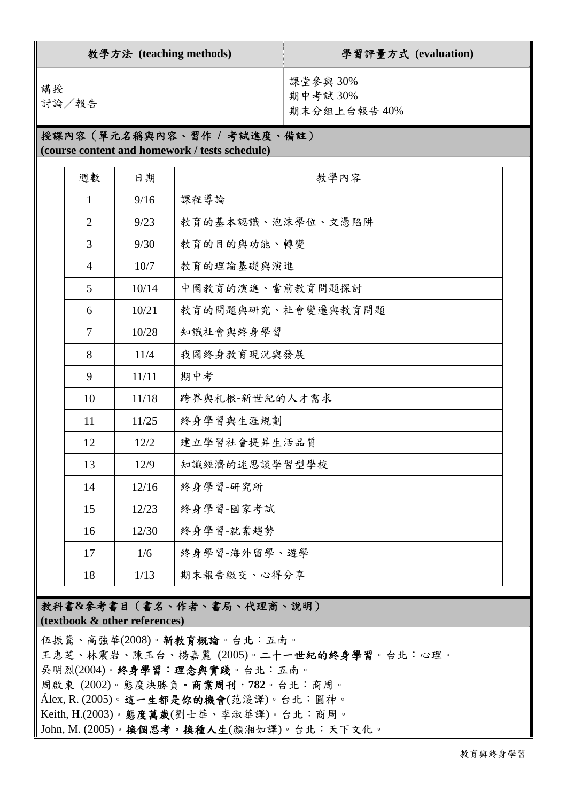| 教學方法 (teaching methods) |                |       |                                                                              | 學習評量方式 (evaluation)                |  |  |  |  |  |
|-------------------------|----------------|-------|------------------------------------------------------------------------------|------------------------------------|--|--|--|--|--|
| 講授<br>討論/報告             |                |       |                                                                              | 課堂參與30%<br>期中考試30%<br>期末分組上台報告 40% |  |  |  |  |  |
|                         |                |       | 授課內容(單元名稱與內容、習作 / 考試進度、備註)<br>(course content and homework / tests schedule) |                                    |  |  |  |  |  |
|                         | 週數             | 日期    | 教學內容                                                                         |                                    |  |  |  |  |  |
|                         | 1              | 9/16  | 課程導論                                                                         |                                    |  |  |  |  |  |
|                         | $\overline{2}$ | 9/23  | 教育的基本認識、泡沫學位、文憑陷阱                                                            |                                    |  |  |  |  |  |
|                         | 3              | 9/30  | 教育的目的與功能、轉變                                                                  |                                    |  |  |  |  |  |
|                         | $\overline{4}$ | 10/7  | 教育的理論基礎與演進                                                                   |                                    |  |  |  |  |  |
|                         | 5              | 10/14 | 中國教育的演進、當前教育問題探討                                                             |                                    |  |  |  |  |  |
|                         | 6              | 10/21 | 教育的問題與研究、社會變遷與教育問題                                                           |                                    |  |  |  |  |  |
|                         | $\overline{7}$ | 10/28 | 知識社會與終身學習                                                                    |                                    |  |  |  |  |  |
|                         | 8              | 11/4  | 我國終身教育現況與發展                                                                  |                                    |  |  |  |  |  |
|                         | 9              | 11/11 | 期中考                                                                          |                                    |  |  |  |  |  |
|                         | 10             | 11/18 | 跨界與札根-新世紀的人才需求                                                               |                                    |  |  |  |  |  |
|                         | 11             | 11/25 | 終身學習與生涯規劃                                                                    |                                    |  |  |  |  |  |
|                         | 12             | 12/2  | 建立學習社會提昇生活品質                                                                 |                                    |  |  |  |  |  |
|                         | 13             | 12/9  | 知識經濟的迷思談學習型學校                                                                |                                    |  |  |  |  |  |
|                         | 14             | 12/16 | 終身學習-研究所                                                                     |                                    |  |  |  |  |  |
|                         | 15             | 12/23 | 終身學習-國家考試                                                                    |                                    |  |  |  |  |  |
|                         | 16             | 12/30 | 終身學習-就業趨勢                                                                    |                                    |  |  |  |  |  |
|                         | 17             | 1/6   | 終身學習-海外留學、遊學                                                                 |                                    |  |  |  |  |  |
|                         | 18             | 1/13  | 期末報告繳交、心得分享                                                                  |                                    |  |  |  |  |  |

## 教科書**&**參考書目(書名、作者、書局、代理商、說明) **(textbook & other references)**

伍振鷟、高強華(2008)。新教育概論。台北:五南。 王惠芝、林震岩、陳玉台、楊嘉麗 (2005)。二十一世紀的終身學習。台北:心理。 吳明烈(2004)。終身學習:理念與實踐。台北:五南。 周啟東 (2002)。態度決勝負。商業周刊,**782**。台北:商周。 Álex, R. (2005)。這一生都是你的機會(范湲譯)。台北:圓神。 Keith, H.(2003)。態度萬歲(劉士華、李淑華譯)。台北:商周。 John, M. (2005)。換個思考,換種人生(顏湘如譯)。台北:天下文化。